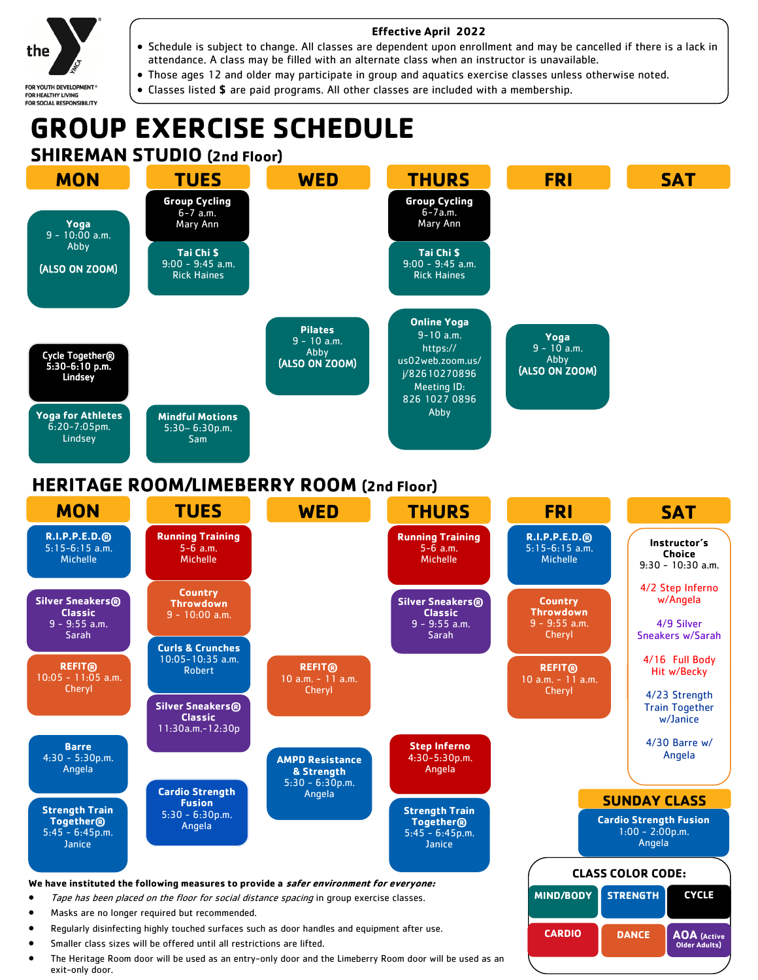

FOR YOUTH DEVELOPMENT®<br>FOR HEALTHY LIVING<br>FOR SOCIAL RESPONSIBILITY

#### **Effective April 2022**

- Schedule is subject to change. All classes are dependent upon enrollment and may be cancelled if there is a lack in attendance. A class may be filled with an alternate class when an instructor is unavailable.
- Those ages 12 and older may participate in group and aquatics exercise classes unless otherwise noted.
- Classes listed **\$** are paid programs. All other classes are included with a membership.

## **GROUP EXERCISE SCHEDULE SHIREMAN STUDIO (2nd Floor)**



### **HERITAGE ROOM/LIMEBERRY ROOM (2nd Floor)**

| <b>MON</b>                                                                                                                                                                                                                          | <b>TUES</b>                                                                                                       | <b>WED</b>                                                | <b>THURS</b>                                                             | <b>FRI</b>                                                                          |                          | <b>SAT</b>                                                                          |  |
|-------------------------------------------------------------------------------------------------------------------------------------------------------------------------------------------------------------------------------------|-------------------------------------------------------------------------------------------------------------------|-----------------------------------------------------------|--------------------------------------------------------------------------|-------------------------------------------------------------------------------------|--------------------------|-------------------------------------------------------------------------------------|--|
| R.I.P.P.E.D.R<br>$5:15-6:15$ a.m.<br><b>Michelle</b>                                                                                                                                                                                | <b>Running Training</b><br>$5 - 6$ a.m.<br><b>Michelle</b>                                                        |                                                           | <b>Running Training</b><br>$5 - 6$ a.m.<br><b>Michelle</b>               | R.I.P.P.E.D.B<br>$5:15-6:15$ a.m.<br>Michelle                                       |                          | Instructor's<br>Choice<br>$9:30 - 10:30$ a.m.                                       |  |
| <b>Silver Sneakers®</b><br><b>Classic</b><br>$9 - 9:55$ a.m.<br>Sarah                                                                                                                                                               | <b>Country</b><br><b>Throwdown</b><br>$9 - 10:00$ a.m.                                                            |                                                           | <b>Silver Sneakers®</b><br><b>Classic</b><br>$9 - 9:55$ a.m.<br>Sarah    | <b>Country</b><br><b>Throwdown</b><br>$9 - 9:55$ a.m.<br>Cheryl                     |                          | 4/2 Step Inferno<br>w/Angela<br>4/9 Silver<br>Sneakers w/Sarah                      |  |
| <b>REFIT®</b><br>$10:05 - 11:05$ a.m.<br><b>Cheryl</b>                                                                                                                                                                              | <b>Curls &amp; Crunches</b><br>$10:05 - 10:35$ a.m.<br><b>Robert</b><br><b>Silver Sneakers®</b><br><b>Classic</b> | <b>REFIT®</b><br>$10 a.m. - 11 a.m.$<br>Cheryl            |                                                                          | <b>REFIT®</b><br>$10$ a.m. $-11$ a.m.<br>Cheryl                                     |                          | 4/16 Full Body<br>Hit w/Becky<br>4/23 Strength<br><b>Train Together</b><br>w/Janice |  |
| <b>Barre</b><br>$4:30 - 5:30p.m.$<br>Angela                                                                                                                                                                                         | $11:30a.m.-12:30p$                                                                                                | <b>AMPD Resistance</b><br>& Strength<br>$5:30 - 6:30p.m.$ | <b>Step Inferno</b><br>4:30-5:30p.m.<br>Angela                           |                                                                                     |                          | $4/30$ Barre w/<br>Angela                                                           |  |
| <b>Strength Train</b><br><b>Together®</b><br>$5:45 - 6:45p.m.$<br>Janice                                                                                                                                                            | <b>Cardio Strength</b><br><b>Fusion</b><br>$5:30 - 6:30p.m.$<br>Angela                                            | Angela                                                    | <b>Strength Train</b><br><b>Together®</b><br>$5:45 - 6:45p.m.$<br>Janice | <b>SUNDAY CLASS</b><br><b>Cardio Strength Fusion</b><br>$1:00 - 2:00p.m.$<br>Angela |                          |                                                                                     |  |
|                                                                                                                                                                                                                                     |                                                                                                                   |                                                           |                                                                          |                                                                                     | <b>CLASS COLOR CODE:</b> |                                                                                     |  |
| We have instituted the following measures to provide a safer environment for everyone:<br>Tape has been placed on the floor for social distance spacing in group exercise classes.<br>Masks are no longer required but recommended. |                                                                                                                   |                                                           |                                                                          | <b>MIND/BODY</b>                                                                    | <b>STRENGTH</b>          | <b>CYCLE</b>                                                                        |  |
| Reqularly disinfecting highly touched surfaces such as door handles and equipment after use.<br>Smaller class sizes will be offered until all restrictions are lifted.                                                              |                                                                                                                   |                                                           |                                                                          | <b>CARDIO</b>                                                                       | <b>DANCE</b>             | <b>AOA</b> (Active<br><b>Older Adults</b> )                                         |  |

 The Heritage Room door will be used as an entry-only door and the Limeberry Room door will be used as an exit-only door.